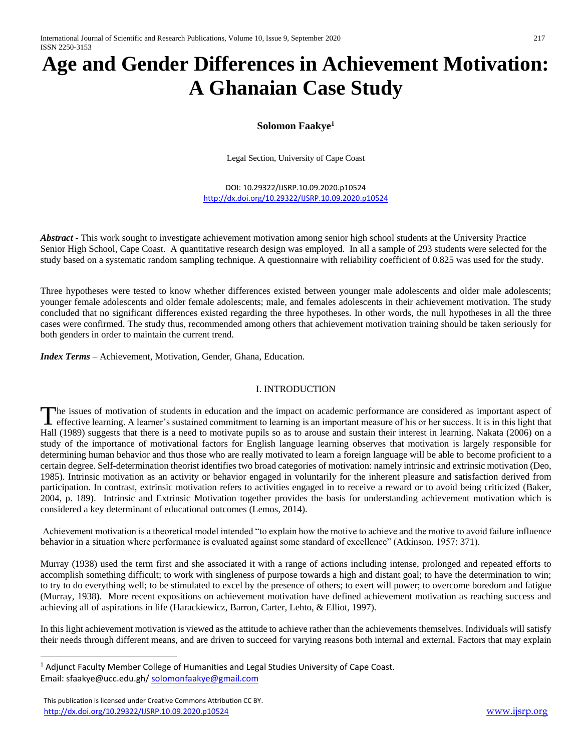# **Age and Gender Differences in Achievement Motivation: A Ghanaian Case Study**

# **Solomon Faakye<sup>1</sup>**

Legal Section, University of Cape Coast

DOI: 10.29322/IJSRP.10.09.2020.p10524 <http://dx.doi.org/10.29322/IJSRP.10.09.2020.p10524>

*Abstract -* This work sought to investigate achievement motivation among senior high school students at the University Practice Senior High School, Cape Coast. A quantitative research design was employed. In all a sample of 293 students were selected for the study based on a systematic random sampling technique. A questionnaire with reliability coefficient of 0.825 was used for the study.

Three hypotheses were tested to know whether differences existed between younger male adolescents and older male adolescents; younger female adolescents and older female adolescents; male, and females adolescents in their achievement motivation. The study concluded that no significant differences existed regarding the three hypotheses. In other words, the null hypotheses in all the three cases were confirmed. The study thus, recommended among others that achievement motivation training should be taken seriously for both genders in order to maintain the current trend.

*Index Terms* – Achievement, Motivation, Gender, Ghana, Education.

## I. INTRODUCTION

he issues of motivation of students in education and the impact on academic performance are considered as important aspect of The issues of motivation of students in education and the impact on academic performance are considered as important aspect of effective learning. A learner's sustained commitment to learning is an important measure of his Hall (1989) suggests that there is a need to motivate pupils so as to arouse and sustain their interest in learning. Nakata (2006) on a study of the importance of motivational factors for English language learning observes that motivation is largely responsible for determining human behavior and thus those who are really motivated to learn a foreign language will be able to become proficient to a certain degree. Self-determination theorist identifies two broad categories of motivation: namely intrinsic and extrinsic motivation (Deo, 1985). Intrinsic motivation as an activity or behavior engaged in voluntarily for the inherent pleasure and satisfaction derived from participation. In contrast, extrinsic motivation refers to activities engaged in to receive a reward or to avoid being criticized (Baker, 2004, p. 189). Intrinsic and Extrinsic Motivation together provides the basis for understanding achievement motivation which is considered a key determinant of educational outcomes (Lemos, 2014).

Achievement motivation is a theoretical model intended "to explain how the motive to achieve and the motive to avoid failure influence behavior in a situation where performance is evaluated against some standard of excellence" (Atkinson, 1957: 371).

Murray (1938) used the term first and she associated it with a range of actions including intense, prolonged and repeated efforts to accomplish something difficult; to work with singleness of purpose towards a high and distant goal; to have the determination to win; to try to do everything well; to be stimulated to excel by the presence of others; to exert will power; to overcome boredom and fatigue (Murray, 1938). More recent expositions on achievement motivation have defined achievement motivation as reaching success and achieving all of aspirations in life (Harackiewicz, Barron, Carter, Lehto, & Elliot, 1997).

In this light achievement motivation is viewed as the attitude to achieve rather than the achievements themselves. Individuals will satisfy their needs through different means, and are driven to succeed for varying reasons both internal and external. Factors that may explain

 $\overline{a}$ 

<sup>&</sup>lt;sup>1</sup> Adjunct Faculty Member College of Humanities and Legal Studies University of Cape Coast. Email: sfaakye@ucc.edu.gh[/ solomonfaakye@gmail.com](mailto:solomonfaakye@gmail.com)

This publication is licensed under Creative Commons Attribution CC BY. <http://dx.doi.org/10.29322/IJSRP.10.09.2020.p10524> [www.ijsrp.org](http://ijsrp.org/)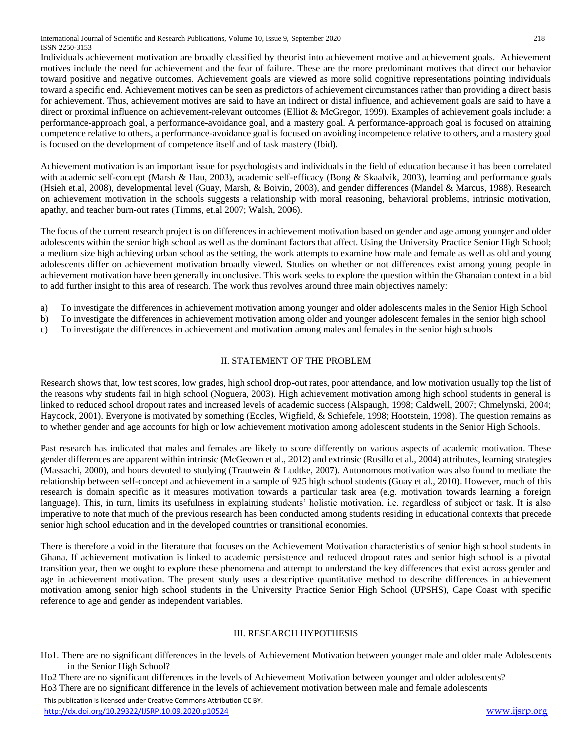International Journal of Scientific and Research Publications, Volume 10, Issue 9, September 2020 218 ISSN 2250-3153

Individuals achievement motivation are broadly classified by theorist into achievement motive and achievement goals. Achievement motives include the need for achievement and the fear of failure. These are the more predominant motives that direct our behavior toward positive and negative outcomes. Achievement goals are viewed as more solid cognitive representations pointing individuals toward a specific end. Achievement motives can be seen as predictors of achievement circumstances rather than providing a direct basis for achievement. Thus, achievement motives are said to have an indirect or distal influence, and achievement goals are said to have a direct or proximal influence on achievement-relevant outcomes (Elliot & McGregor, 1999). Examples of achievement goals include: a performance-approach goal, a performance-avoidance goal, and a mastery goal. A performance-approach goal is focused on attaining competence relative to others, a performance-avoidance goal is focused on avoiding incompetence relative to others, and a mastery goal is focused on the development of competence itself and of task mastery (Ibid).

Achievement motivation is an important issue for psychologists and individuals in the field of education because it has been correlated with academic self-concept (Marsh & Hau, 2003), academic self-efficacy (Bong & Skaalvik, 2003), learning and performance goals (Hsieh et.al, 2008), developmental level (Guay, Marsh, & Boivin, 2003), and gender differences (Mandel & Marcus, 1988). Research on achievement motivation in the schools suggests a relationship with moral reasoning, behavioral problems, intrinsic motivation, apathy, and teacher burn-out rates (Timms, et.al 2007; Walsh, 2006).

The focus of the current research project is on differences in achievement motivation based on gender and age among younger and older adolescents within the senior high school as well as the dominant factors that affect. Using the University Practice Senior High School; a medium size high achieving urban school as the setting, the work attempts to examine how male and female as well as old and young adolescents differ on achievement motivation broadly viewed. Studies on whether or not differences exist among young people in achievement motivation have been generally inconclusive. This work seeks to explore the question within the Ghanaian context in a bid to add further insight to this area of research. The work thus revolves around three main objectives namely:

- a) To investigate the differences in achievement motivation among younger and older adolescents males in the Senior High School
- b) To investigate the differences in achievement motivation among older and younger adolescent females in the senior high school
- c) To investigate the differences in achievement and motivation among males and females in the senior high schools

## II. STATEMENT OF THE PROBLEM

Research shows that, low test scores, low grades, high school drop-out rates, poor attendance, and low motivation usually top the list of the reasons why students fail in high school (Noguera, 2003). High achievement motivation among high school students in general is linked to reduced school dropout rates and increased levels of academic success (Alspaugh, 1998; Caldwell, 2007; Chmelynski, 2004; Haycock, 2001). Everyone is motivated by something (Eccles, Wigfield, & Schiefele, 1998; Hootstein, 1998). The question remains as to whether gender and age accounts for high or low achievement motivation among adolescent students in the Senior High Schools.

Past research has indicated that males and females are likely to score differently on various aspects of academic motivation. These gender differences are apparent within intrinsic (McGeown et al., 2012) and extrinsic (Rusillo et al., 2004) attributes, learning strategies (Massachi, 2000), and hours devoted to studying (Trautwein & Ludtke, 2007). Autonomous motivation was also found to mediate the relationship between self-concept and achievement in a sample of 925 high school students (Guay et al., 2010). However, much of this research is domain specific as it measures motivation towards a particular task area (e.g. motivation towards learning a foreign language). This, in turn, limits its usefulness in explaining students' holistic motivation, i.e. regardless of subject or task. It is also imperative to note that much of the previous research has been conducted among students residing in educational contexts that precede senior high school education and in the developed countries or transitional economies.

There is therefore a void in the literature that focuses on the Achievement Motivation characteristics of senior high school students in Ghana. If achievement motivation is linked to academic persistence and reduced dropout rates and senior high school is a pivotal transition year, then we ought to explore these phenomena and attempt to understand the key differences that exist across gender and age in achievement motivation. The present study uses a descriptive quantitative method to describe differences in achievement motivation among senior high school students in the University Practice Senior High School (UPSHS), Cape Coast with specific reference to age and gender as independent variables.

#### III. RESEARCH HYPOTHESIS

- Ho1. There are no significant differences in the levels of Achievement Motivation between younger male and older male Adolescents in the Senior High School?
- Ho2 There are no significant differences in the levels of Achievement Motivation between younger and older adolescents?

Ho3 There are no significant difference in the levels of achievement motivation between male and female adolescents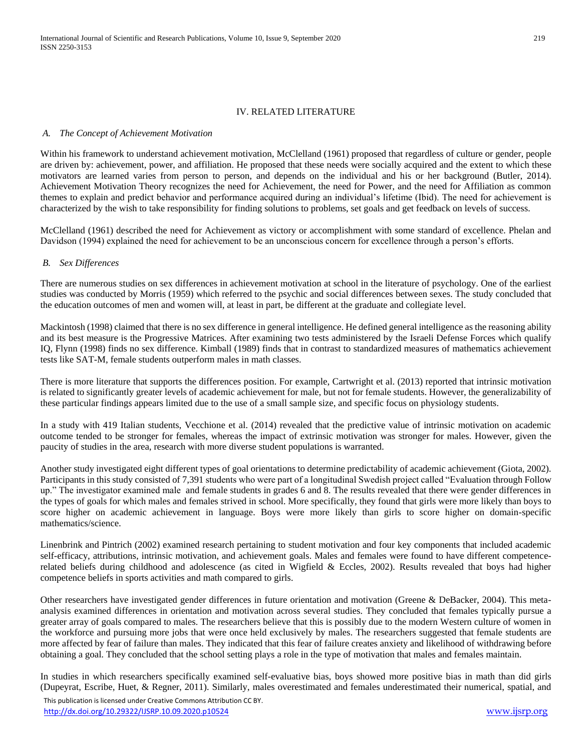## IV. RELATED LITERATURE

#### *A. The Concept of Achievement Motivation*

Within his framework to understand achievement motivation, McClelland (1961) proposed that regardless of culture or gender, people are driven by: achievement, power, and affiliation. He proposed that these needs were socially acquired and the extent to which these motivators are learned varies from person to person, and depends on the individual and his or her background (Butler, 2014). Achievement Motivation Theory recognizes the need for Achievement, the need for Power, and the need for Affiliation as common themes to explain and predict behavior and performance acquired during an individual's lifetime (Ibid). The need for achievement is characterized by the wish to take responsibility for finding solutions to problems, set goals and get feedback on levels of success.

McClelland (1961) described the need for Achievement as victory or accomplishment with some standard of excellence. Phelan and Davidson (1994) explained the need for achievement to be an unconscious concern for excellence through a person's efforts.

#### *B. Sex Differences*

There are numerous studies on sex differences in achievement motivation at school in the literature of psychology. One of the earliest studies was conducted by Morris (1959) which referred to the psychic and social differences between sexes. The study concluded that the education outcomes of men and women will, at least in part, be different at the graduate and collegiate level.

Mackintosh (1998) claimed that there is no sex difference in general intelligence. He defined general intelligence as the reasoning ability and its best measure is the Progressive Matrices. After examining two tests administered by the Israeli Defense Forces which qualify IQ, Flynn (1998) finds no sex difference. Kimball (1989) finds that in contrast to standardized measures of mathematics achievement tests like SAT-M, female students outperform males in math classes.

There is more literature that supports the differences position. For example, Cartwright et al. (2013) reported that intrinsic motivation is related to significantly greater levels of academic achievement for male, but not for female students. However, the generalizability of these particular findings appears limited due to the use of a small sample size, and specific focus on physiology students.

In a study with 419 Italian students, Vecchione et al. (2014) revealed that the predictive value of intrinsic motivation on academic outcome tended to be stronger for females, whereas the impact of extrinsic motivation was stronger for males. However, given the paucity of studies in the area, research with more diverse student populations is warranted.

Another study investigated eight different types of goal orientations to determine predictability of academic achievement (Giota, 2002). Participants in this study consisted of 7,391 students who were part of a longitudinal Swedish project called "Evaluation through Follow up." The investigator examined male and female students in grades 6 and 8. The results revealed that there were gender differences in the types of goals for which males and females strived in school. More specifically, they found that girls were more likely than boys to score higher on academic achievement in language. Boys were more likely than girls to score higher on domain-specific mathematics/science.

Linenbrink and Pintrich (2002) examined research pertaining to student motivation and four key components that included academic self-efficacy, attributions, intrinsic motivation, and achievement goals. Males and females were found to have different competencerelated beliefs during childhood and adolescence (as cited in Wigfield & Eccles, 2002). Results revealed that boys had higher competence beliefs in sports activities and math compared to girls.

Other researchers have investigated gender differences in future orientation and motivation (Greene & DeBacker, 2004). This metaanalysis examined differences in orientation and motivation across several studies. They concluded that females typically pursue a greater array of goals compared to males. The researchers believe that this is possibly due to the modern Western culture of women in the workforce and pursuing more jobs that were once held exclusively by males. The researchers suggested that female students are more affected by fear of failure than males. They indicated that this fear of failure creates anxiety and likelihood of withdrawing before obtaining a goal. They concluded that the school setting plays a role in the type of motivation that males and females maintain.

In studies in which researchers specifically examined self-evaluative bias, boys showed more positive bias in math than did girls (Dupeyrat, Escribe, Huet, & Regner, 2011). Similarly, males overestimated and females underestimated their numerical, spatial, and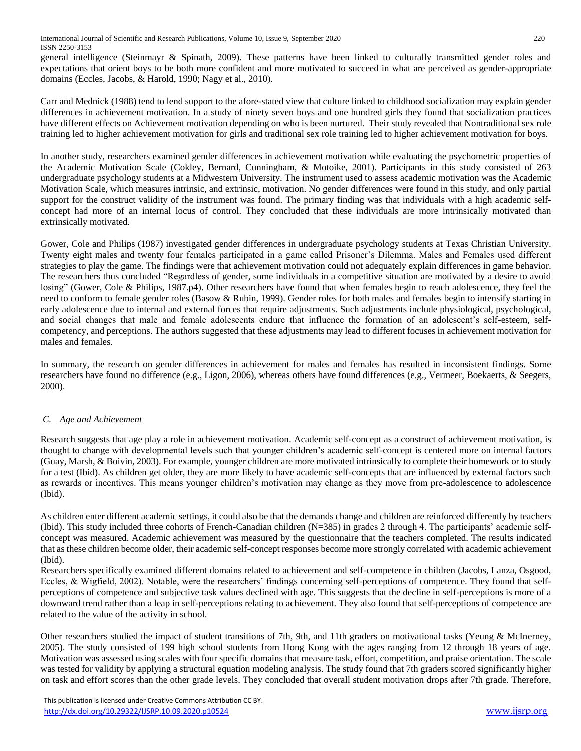general intelligence (Steinmayr & Spinath, 2009). These patterns have been linked to culturally transmitted gender roles and expectations that orient boys to be both more confident and more motivated to succeed in what are perceived as gender-appropriate domains (Eccles, Jacobs, & Harold, 1990; Nagy et al., 2010).

Carr and Mednick (1988) tend to lend support to the afore-stated view that culture linked to childhood socialization may explain gender differences in achievement motivation. In a study of ninety seven boys and one hundred girls they found that socialization practices have different effects on Achievement motivation depending on who is been nurtured. Their study revealed that Nontraditional sex role training led to higher achievement motivation for girls and traditional sex role training led to higher achievement motivation for boys.

In another study, researchers examined gender differences in achievement motivation while evaluating the psychometric properties of the Academic Motivation Scale (Cokley, Bernard, Cunningham, & Motoike, 2001). Participants in this study consisted of 263 undergraduate psychology students at a Midwestern University. The instrument used to assess academic motivation was the Academic Motivation Scale, which measures intrinsic, and extrinsic, motivation. No gender differences were found in this study, and only partial support for the construct validity of the instrument was found. The primary finding was that individuals with a high academic selfconcept had more of an internal locus of control. They concluded that these individuals are more intrinsically motivated than extrinsically motivated.

Gower, Cole and Philips (1987) investigated gender differences in undergraduate psychology students at Texas Christian University. Twenty eight males and twenty four females participated in a game called Prisoner's Dilemma. Males and Females used different strategies to play the game. The findings were that achievement motivation could not adequately explain differences in game behavior. The researchers thus concluded "Regardless of gender, some individuals in a competitive situation are motivated by a desire to avoid losing" (Gower, Cole & Philips, 1987.p4). Other researchers have found that when females begin to reach adolescence, they feel the need to conform to female gender roles (Basow & Rubin, 1999). Gender roles for both males and females begin to intensify starting in early adolescence due to internal and external forces that require adjustments. Such adjustments include physiological, psychological, and social changes that male and female adolescents endure that influence the formation of an adolescent's self-esteem, selfcompetency, and perceptions. The authors suggested that these adjustments may lead to different focuses in achievement motivation for males and females.

In summary, the research on gender differences in achievement for males and females has resulted in inconsistent findings. Some researchers have found no difference (e.g., Ligon, 2006), whereas others have found differences (e.g., Vermeer, Boekaerts, & Seegers, 2000).

# *C. Age and Achievement*

Research suggests that age play a role in achievement motivation. Academic self-concept as a construct of achievement motivation, is thought to change with developmental levels such that younger children's academic self-concept is centered more on internal factors (Guay, Marsh, & Boivin, 2003). For example, younger children are more motivated intrinsically to complete their homework or to study for a test (Ibid). As children get older, they are more likely to have academic self-concepts that are influenced by external factors such as rewards or incentives. This means younger children's motivation may change as they move from pre-adolescence to adolescence (Ibid).

As children enter different academic settings, it could also be that the demands change and children are reinforced differently by teachers (Ibid). This study included three cohorts of French-Canadian children (N=385) in grades 2 through 4. The participants' academic selfconcept was measured. Academic achievement was measured by the questionnaire that the teachers completed. The results indicated that as these children become older, their academic self-concept responses become more strongly correlated with academic achievement (Ibid).

Researchers specifically examined different domains related to achievement and self-competence in children (Jacobs, Lanza, Osgood, Eccles, & Wigfield, 2002). Notable, were the researchers' findings concerning self-perceptions of competence. They found that selfperceptions of competence and subjective task values declined with age. This suggests that the decline in self-perceptions is more of a downward trend rather than a leap in self-perceptions relating to achievement. They also found that self-perceptions of competence are related to the value of the activity in school.

Other researchers studied the impact of student transitions of 7th, 9th, and 11th graders on motivational tasks (Yeung & McInerney, 2005). The study consisted of 199 high school students from Hong Kong with the ages ranging from 12 through 18 years of age. Motivation was assessed using scales with four specific domains that measure task, effort, competition, and praise orientation. The scale was tested for validity by applying a structural equation modeling analysis. The study found that 7th graders scored significantly higher on task and effort scores than the other grade levels. They concluded that overall student motivation drops after 7th grade. Therefore,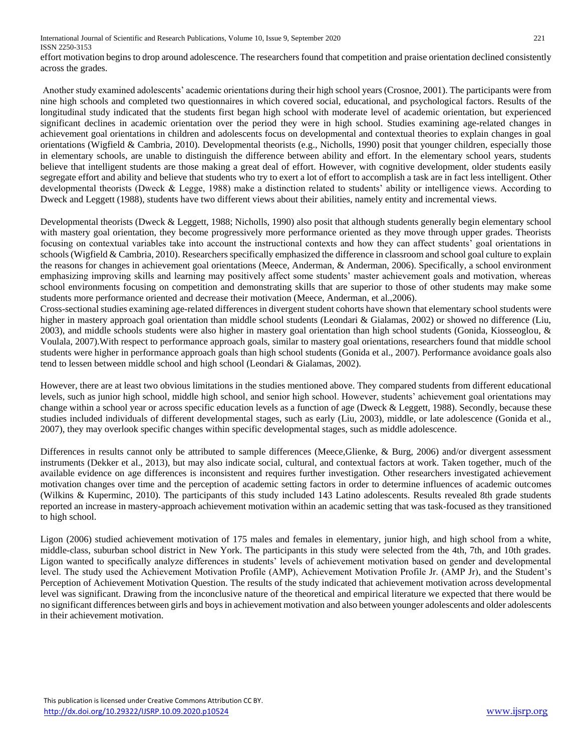effort motivation begins to drop around adolescence. The researchers found that competition and praise orientation declined consistently across the grades.

Another study examined adolescents' academic orientations during their high school years (Crosnoe, 2001). The participants were from nine high schools and completed two questionnaires in which covered social, educational, and psychological factors. Results of the longitudinal study indicated that the students first began high school with moderate level of academic orientation, but experienced significant declines in academic orientation over the period they were in high school. Studies examining age-related changes in achievement goal orientations in children and adolescents focus on developmental and contextual theories to explain changes in goal orientations (Wigfield & Cambria, 2010). Developmental theorists (e.g., Nicholls, 1990) posit that younger children, especially those in elementary schools, are unable to distinguish the difference between ability and effort. In the elementary school years, students believe that intelligent students are those making a great deal of effort. However, with cognitive development, older students easily segregate effort and ability and believe that students who try to exert a lot of effort to accomplish a task are in fact less intelligent. Other developmental theorists (Dweck & Legge, 1988) make a distinction related to students' ability or intelligence views. According to Dweck and Leggett (1988), students have two different views about their abilities, namely entity and incremental views.

Developmental theorists (Dweck & Leggett, 1988; Nicholls, 1990) also posit that although students generally begin elementary school with mastery goal orientation, they become progressively more performance oriented as they move through upper grades. Theorists focusing on contextual variables take into account the instructional contexts and how they can affect students' goal orientations in schools (Wigfield & Cambria, 2010). Researchers specifically emphasized the difference in classroom and school goal culture to explain the reasons for changes in achievement goal orientations (Meece, Anderman, & Anderman, 2006). Specifically, a school environment emphasizing improving skills and learning may positively affect some students' master achievement goals and motivation, whereas school environments focusing on competition and demonstrating skills that are superior to those of other students may make some students more performance oriented and decrease their motivation (Meece, Anderman, et al.,2006).

Cross-sectional studies examining age-related differences in divergent student cohorts have shown that elementary school students were higher in mastery approach goal orientation than middle school students (Leondari & Gialamas, 2002) or showed no difference (Liu, 2003), and middle schools students were also higher in mastery goal orientation than high school students (Gonida, Kiosseoglou,  $\&$ Voulala, 2007).With respect to performance approach goals, similar to mastery goal orientations, researchers found that middle school students were higher in performance approach goals than high school students (Gonida et al., 2007). Performance avoidance goals also tend to lessen between middle school and high school (Leondari & Gialamas, 2002).

However, there are at least two obvious limitations in the studies mentioned above. They compared students from different educational levels, such as junior high school, middle high school, and senior high school. However, students' achievement goal orientations may change within a school year or across specific education levels as a function of age (Dweck & Leggett, 1988). Secondly, because these studies included individuals of different developmental stages, such as early (Liu, 2003), middle, or late adolescence (Gonida et al., 2007), they may overlook specific changes within specific developmental stages, such as middle adolescence.

Differences in results cannot only be attributed to sample differences (Meece,Glienke, & Burg, 2006) and/or divergent assessment instruments (Dekker et al., 2013), but may also indicate social, cultural, and contextual factors at work. Taken together, much of the available evidence on age differences is inconsistent and requires further investigation. Other researchers investigated achievement motivation changes over time and the perception of academic setting factors in order to determine influences of academic outcomes (Wilkins & Kuperminc, 2010). The participants of this study included 143 Latino adolescents. Results revealed 8th grade students reported an increase in mastery-approach achievement motivation within an academic setting that was task-focused as they transitioned to high school.

Ligon (2006) studied achievement motivation of 175 males and females in elementary, junior high, and high school from a white, middle-class, suburban school district in New York. The participants in this study were selected from the 4th, 7th, and 10th grades. Ligon wanted to specifically analyze differences in students' levels of achievement motivation based on gender and developmental level. The study used the Achievement Motivation Profile (AMP), Achievement Motivation Profile Jr. (AMP Jr), and the Student's Perception of Achievement Motivation Question. The results of the study indicated that achievement motivation across developmental level was significant. Drawing from the inconclusive nature of the theoretical and empirical literature we expected that there would be no significant differences between girls and boys in achievement motivation and also between younger adolescents and older adolescents in their achievement motivation.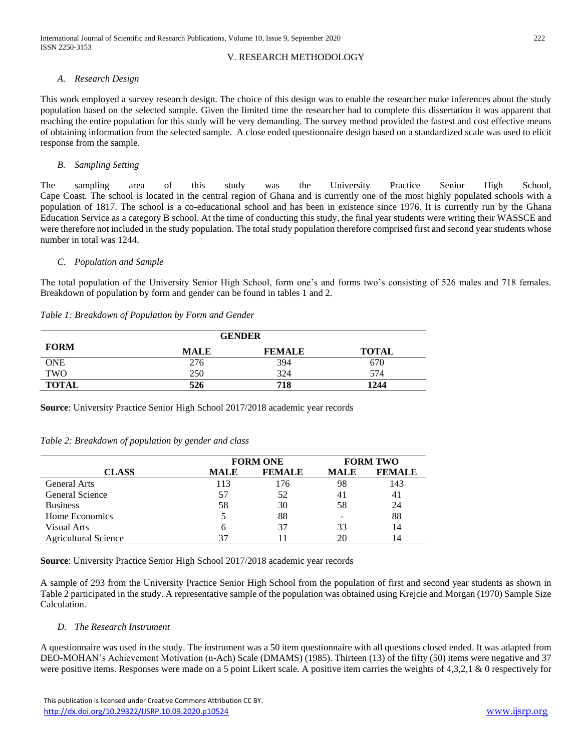## V. RESEARCH METHODOLOGY

#### *A. Research Design*

This work employed a survey research design. The choice of this design was to enable the researcher make inferences about the study population based on the selected sample. Given the limited time the researcher had to complete this dissertation it was apparent that reaching the entire population for this study will be very demanding. The survey method provided the fastest and cost effective means of obtaining information from the selected sample. A close ended questionnaire design based on a standardized scale was used to elicit response from the sample.

## *B. Sampling Setting*

The sampling area of this study was the University Practice Senior High School, Cape Coast. The school is located in the central region of Ghana and is currently one of the most highly populated schools with a population of 1817. The school is a co-educational school and has been in existence since 1976. It is currently run by the Ghana Education Service as a category B school. At the time of conducting this study, the final year students were writing their WASSCE and were therefore not included in the study population. The total study population therefore comprised first and second year students whose number in total was 1244.

## *C. Population and Sample*

The total population of the University Senior High School, form one's and forms two's consisting of 526 males and 718 females. Breakdown of population by form and gender can be found in tables 1 and 2.

| Table 1: Breakdown of Population by Form and Gender |  |  |
|-----------------------------------------------------|--|--|
|                                                     |  |  |

| <b>GENDER</b> |             |               |              |  |  |
|---------------|-------------|---------------|--------------|--|--|
| <b>FORM</b>   | <b>MALE</b> | <b>FEMALE</b> | <b>TOTAL</b> |  |  |
| <b>ONE</b>    | 276         | 394           | 670          |  |  |
| TWO           | 250         | 324           | 574          |  |  |
| <b>TOTAL</b>  | 526         | 718           | 1244         |  |  |

**Source**: University Practice Senior High School 2017/2018 academic year records

#### *Table 2: Breakdown of population by gender and class*

|                             | <b>FORM ONE</b> |               | <b>FORM TWO</b> |               |
|-----------------------------|-----------------|---------------|-----------------|---------------|
| <b>CLASS</b>                | <b>MALE</b>     | <b>FEMALE</b> | <b>MALE</b>     | <b>FEMALE</b> |
| <b>General Arts</b>         | 113             | 176           | 98              | 143           |
| General Science             | 57              | 52            | 41              | 41            |
| <b>Business</b>             | 58              | 30            | 58              | 24            |
| Home Economics              |                 | 88            |                 | 88            |
| Visual Arts                 | h               | 37            | 33              | 14            |
| <b>Agricultural Science</b> |                 |               | 20              | 14            |

**Source**: University Practice Senior High School 2017/2018 academic year records

A sample of 293 from the University Practice Senior High School from the population of first and second year students as shown in Table 2 participated in the study. A representative sample of the population was obtained using Krejcie and Morgan (1970) Sample Size Calculation.

## *D. The Research Instrument*

A questionnaire was used in the study. The instrument was a 50 item questionnaire with all questions closed ended. It was adapted from DEO-MOHAN's Achievement Motivation (n-Ach) Scale (DMAMS) (1985). Thirteen (13) of the fifty (50) items were negative and 37 were positive items. Responses were made on a 5 point Likert scale. A positive item carries the weights of  $4.3.2.1 \& 0$  respectively for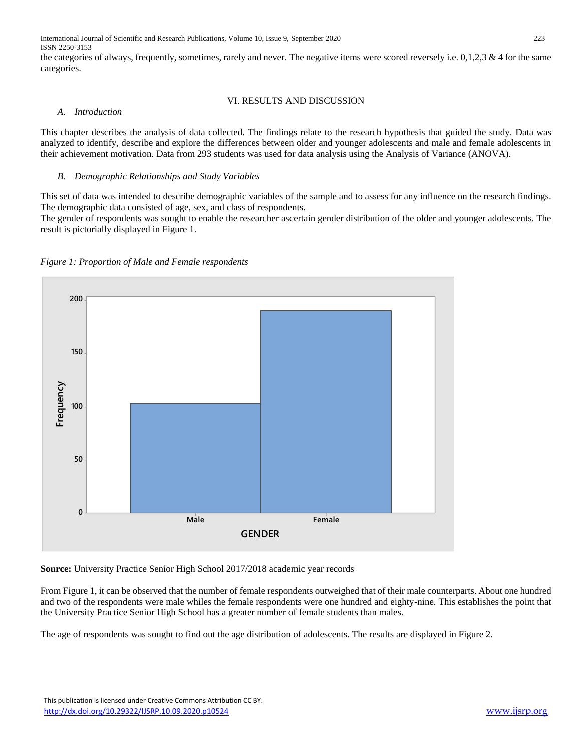International Journal of Scientific and Research Publications, Volume 10, Issue 9, September 2020 223 ISSN 2250-3153

the categories of always, frequently, sometimes, rarely and never. The negative items were scored reversely i.e.  $0,1,2,3 \& 4$  for the same categories.

#### VI. RESULTS AND DISCUSSION

#### *A. Introduction*

This chapter describes the analysis of data collected. The findings relate to the research hypothesis that guided the study. Data was analyzed to identify, describe and explore the differences between older and younger adolescents and male and female adolescents in their achievement motivation. Data from 293 students was used for data analysis using the Analysis of Variance (ANOVA).

#### *B. Demographic Relationships and Study Variables*

This set of data was intended to describe demographic variables of the sample and to assess for any influence on the research findings. The demographic data consisted of age, sex, and class of respondents.

The gender of respondents was sought to enable the researcher ascertain gender distribution of the older and younger adolescents. The result is pictorially displayed in Figure 1.





**Source:** University Practice Senior High School 2017/2018 academic year records

From Figure 1, it can be observed that the number of female respondents outweighed that of their male counterparts. About one hundred and two of the respondents were male whiles the female respondents were one hundred and eighty-nine. This establishes the point that the University Practice Senior High School has a greater number of female students than males.

The age of respondents was sought to find out the age distribution of adolescents. The results are displayed in Figure 2.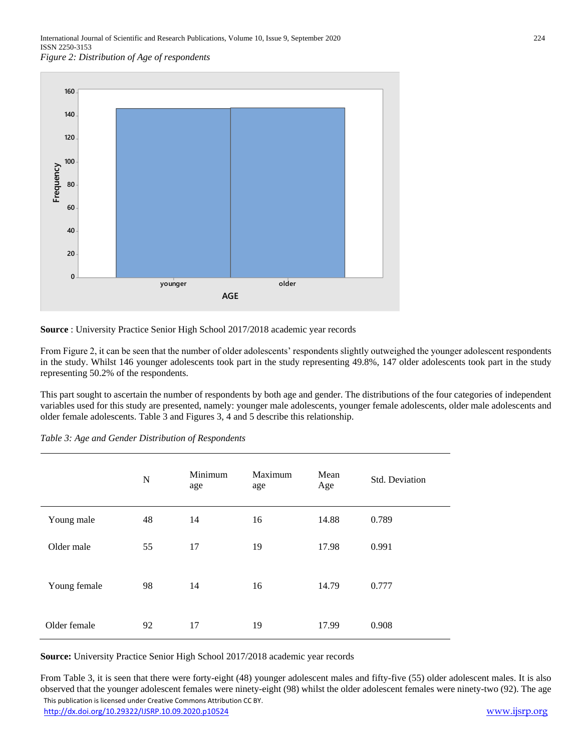

**Source** : University Practice Senior High School 2017/2018 academic year records

From Figure 2, it can be seen that the number of older adolescents' respondents slightly outweighed the younger adolescent respondents in the study. Whilst 146 younger adolescents took part in the study representing 49.8%, 147 older adolescents took part in the study representing 50.2% of the respondents.

This part sought to ascertain the number of respondents by both age and gender. The distributions of the four categories of independent variables used for this study are presented, namely: younger male adolescents, younger female adolescents, older male adolescents and older female adolescents. Table 3 and Figures 3, 4 and 5 describe this relationship.

|              | N  | Minimum<br>age | Maximum<br>age | Mean<br>Age | Std. Deviation |
|--------------|----|----------------|----------------|-------------|----------------|
| Young male   | 48 | 14             | 16             | 14.88       | 0.789          |
| Older male   | 55 | 17             | 19             | 17.98       | 0.991          |
| Young female | 98 | 14             | 16             | 14.79       | 0.777          |
| Older female | 92 | 17             | 19             | 17.99       | 0.908          |

*Table 3: Age and Gender Distribution of Respondents*

**Source:** University Practice Senior High School 2017/2018 academic year records

 This publication is licensed under Creative Commons Attribution CC BY. <http://dx.doi.org/10.29322/IJSRP.10.09.2020.p10524> [www.ijsrp.org](http://ijsrp.org/) From Table 3, it is seen that there were forty-eight (48) younger adolescent males and fifty-five (55) older adolescent males. It is also observed that the younger adolescent females were ninety-eight (98) whilst the older adolescent females were ninety-two (92). The age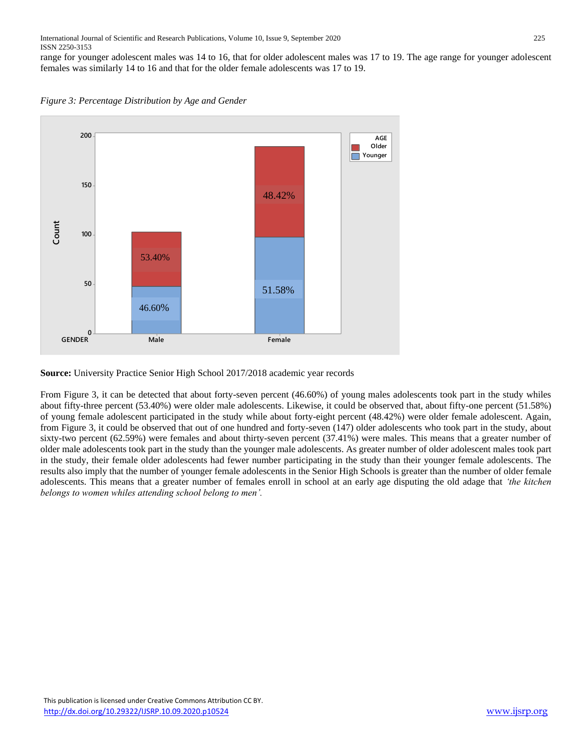range for younger adolescent males was 14 to 16, that for older adolescent males was 17 to 19. The age range for younger adolescent females was similarly 14 to 16 and that for the older female adolescents was 17 to 19.





**Source:** University Practice Senior High School 2017/2018 academic year records

From Figure 3, it can be detected that about forty-seven percent (46.60%) of young males adolescents took part in the study whiles about fifty-three percent (53.40%) were older male adolescents. Likewise, it could be observed that, about fifty-one percent (51.58%) of young female adolescent participated in the study while about forty-eight percent (48.42%) were older female adolescent. Again, from Figure 3, it could be observed that out of one hundred and forty-seven (147) older adolescents who took part in the study, about sixty-two percent (62.59%) were females and about thirty-seven percent (37.41%) were males. This means that a greater number of older male adolescents took part in the study than the younger male adolescents. As greater number of older adolescent males took part in the study, their female older adolescents had fewer number participating in the study than their younger female adolescents. The results also imply that the number of younger female adolescents in the Senior High Schools is greater than the number of older female adolescents. This means that a greater number of females enroll in school at an early age disputing the old adage that *'the kitchen belongs to women whiles attending school belong to men'.*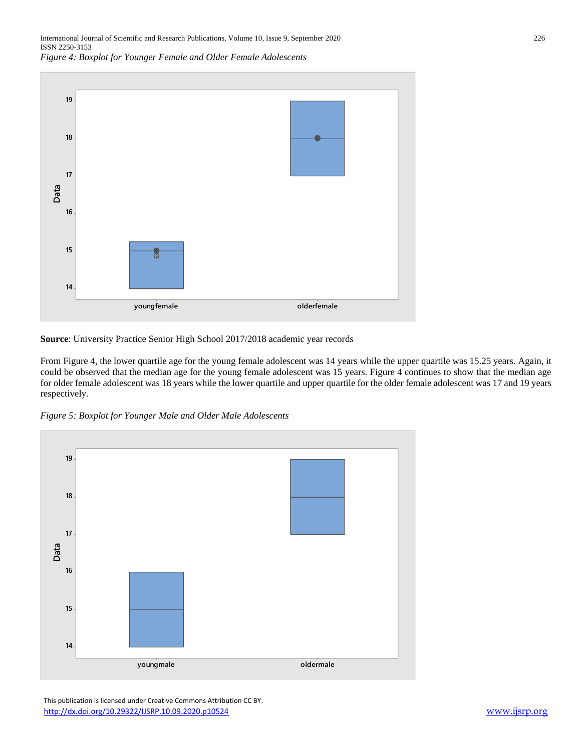

**Source**: University Practice Senior High School 2017/2018 academic year records

From Figure 4, the lower quartile age for the young female adolescent was 14 years while the upper quartile was 15.25 years. Again, it could be observed that the median age for the young female adolescent was 15 years. Figure 4 continues to show that the median age for older female adolescent was 18 years while the lower quartile and upper quartile for the older female adolescent was 17 and 19 years respectively.





 This publication is licensed under Creative Commons Attribution CC BY. <http://dx.doi.org/10.29322/IJSRP.10.09.2020.p10524> [www.ijsrp.org](http://ijsrp.org/)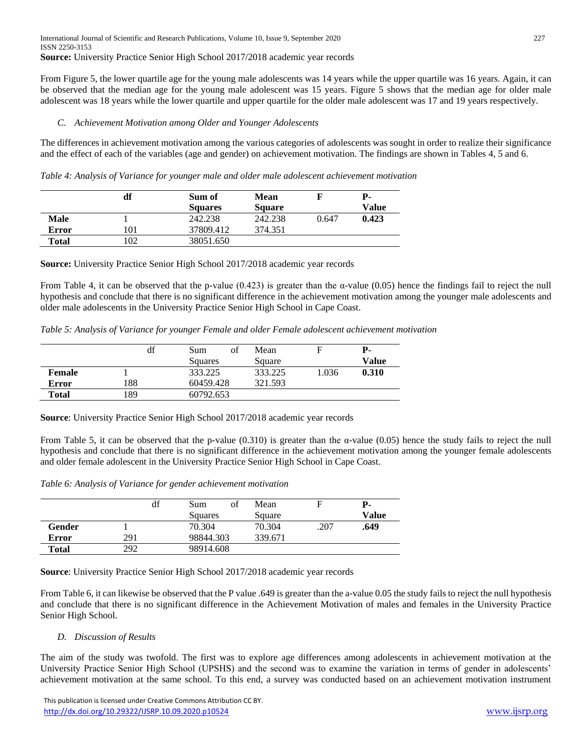From Figure 5, the lower quartile age for the young male adolescents was 14 years while the upper quartile was 16 years. Again, it can be observed that the median age for the young male adolescent was 15 years. Figure 5 shows that the median age for older male adolescent was 18 years while the lower quartile and upper quartile for the older male adolescent was 17 and 19 years respectively.

## *C. Achievement Motivation among Older and Younger Adolescents*

The differences in achievement motivation among the various categories of adolescents was sought in order to realize their significance and the effect of each of the variables (age and gender) on achievement motivation. The findings are shown in Tables 4, 5 and 6.

*Table 4: Analysis of Variance for younger male and older male adolescent achievement motivation*

|             | df  | Sum of         | Mean          |       | Р-    |
|-------------|-----|----------------|---------------|-------|-------|
|             |     | <b>Squares</b> | <b>Square</b> |       | Value |
| <b>Male</b> |     | 242.238        | 242.238       | 0.647 | 0.423 |
| Error       | 101 | 37809.412      | 374.351       |       |       |
| Total       | 102 | 38051.650      |               |       |       |

**Source:** University Practice Senior High School 2017/2018 academic year records

From Table 4, it can be observed that the p-value  $(0.423)$  is greater than the  $\alpha$ -value  $(0.05)$  hence the findings fail to reject the null hypothesis and conclude that there is no significant difference in the achievement motivation among the younger male adolescents and older male adolescents in the University Practice Senior High School in Cape Coast.

*Table 5: Analysis of Variance for younger Female and older Female adolescent achievement motivation*

|        | df  | of<br>Sum | Mean    |       | P-    |
|--------|-----|-----------|---------|-------|-------|
|        |     | Squares   | Square  |       | Value |
| Female |     | 333.225   | 333.225 | 1.036 | 0.310 |
| Error  | 188 | 60459.428 | 321.593 |       |       |
| Total  | 189 | 60792.653 |         |       |       |

**Source**: University Practice Senior High School 2017/2018 academic year records

From Table 5, it can be observed that the p-value (0.310) is greater than the α-value (0.05) hence the study fails to reject the null hypothesis and conclude that there is no significant difference in the achievement motivation among the younger female adolescents and older female adolescent in the University Practice Senior High School in Cape Coast.

*Table 6: Analysis of Variance for gender achievement motivation*

|        | df  | of<br>Sum<br>Squares | Mean<br>Square |      | Р-<br>Value |
|--------|-----|----------------------|----------------|------|-------------|
| Gender |     | 70.304               | 70.304         | .207 | .649        |
| Error  | 291 | 98844.303            | 339.671        |      |             |
| Total  | 292 | 98914.608            |                |      |             |

**Source**: University Practice Senior High School 2017/2018 academic year records

From Table 6, it can likewise be observed that the P value .649 is greater than the a-value 0.05 the study fails to reject the null hypothesis and conclude that there is no significant difference in the Achievement Motivation of males and females in the University Practice Senior High School.

## *D. Discussion of Results*

The aim of the study was twofold. The first was to explore age differences among adolescents in achievement motivation at the University Practice Senior High School (UPSHS) and the second was to examine the variation in terms of gender in adolescents' achievement motivation at the same school. To this end, a survey was conducted based on an achievement motivation instrument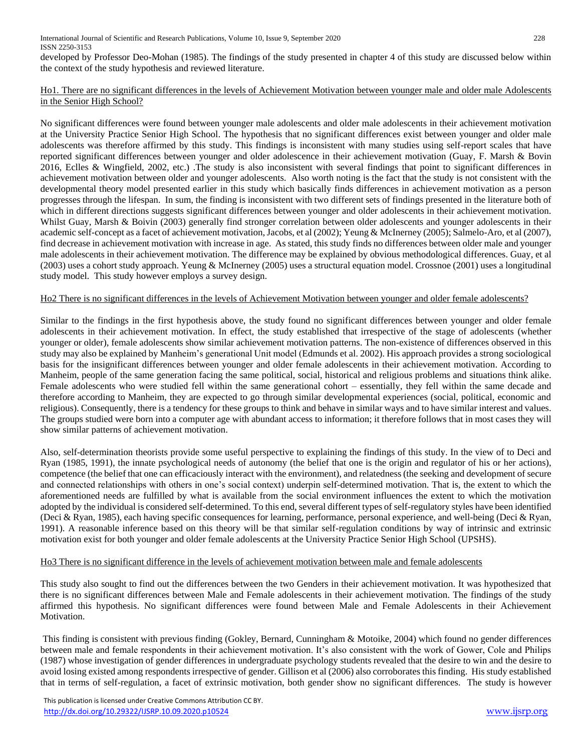developed by Professor Deo-Mohan (1985). The findings of the study presented in chapter 4 of this study are discussed below within the context of the study hypothesis and reviewed literature.

## Ho1. There are no significant differences in the levels of Achievement Motivation between younger male and older male Adolescents in the Senior High School?

No significant differences were found between younger male adolescents and older male adolescents in their achievement motivation at the University Practice Senior High School. The hypothesis that no significant differences exist between younger and older male adolescents was therefore affirmed by this study. This findings is inconsistent with many studies using self-report scales that have reported significant differences between younger and older adolescence in their achievement motivation (Guay, F. Marsh & Bovin 2016, Eclles & Wingfield, 2002, etc.) .The study is also inconsistent with several findings that point to significant differences in achievement motivation between older and younger adolescents. Also worth noting is the fact that the study is not consistent with the developmental theory model presented earlier in this study which basically finds differences in achievement motivation as a person progresses through the lifespan. In sum, the finding is inconsistent with two different sets of findings presented in the literature both of which in different directions suggests significant differences between younger and older adolescents in their achievement motivation. Whilst Guay, Marsh & Boivin (2003) generally find stronger correlation between older adolescents and younger adolescents in their academic self-concept as a facet of achievement motivation, Jacobs, et al (2002); Yeung & McInerney (2005); Salmelo-Aro, et al (2007), find decrease in achievement motivation with increase in age. As stated, this study finds no differences between older male and younger male adolescents in their achievement motivation. The difference may be explained by obvious methodological differences. Guay, et al (2003) uses a cohort study approach. Yeung & McInerney (2005) uses a structural equation model. Crossnoe (2001) uses a longitudinal study model. This study however employs a survey design.

## Ho2 There is no significant differences in the levels of Achievement Motivation between younger and older female adolescents?

Similar to the findings in the first hypothesis above, the study found no significant differences between younger and older female adolescents in their achievement motivation. In effect, the study established that irrespective of the stage of adolescents (whether younger or older), female adolescents show similar achievement motivation patterns. The non-existence of differences observed in this study may also be explained by Manheim's generational Unit model (Edmunds et al. 2002). His approach provides a strong sociological basis for the insignificant differences between younger and older female adolescents in their achievement motivation. According to Manheim, people of the same generation facing the same political, social, historical and religious problems and situations think alike. Female adolescents who were studied fell within the same generational cohort – essentially, they fell within the same decade and therefore according to Manheim, they are expected to go through similar developmental experiences (social, political, economic and religious). Consequently, there is a tendency for these groups to think and behave in similar ways and to have similar interest and values. The groups studied were born into a computer age with abundant access to information; it therefore follows that in most cases they will show similar patterns of achievement motivation.

Also, self-determination theorists provide some useful perspective to explaining the findings of this study. In the view of to Deci and Ryan (1985, 1991), the innate psychological needs of autonomy (the belief that one is the origin and regulator of his or her actions), competence (the belief that one can efficaciously interact with the environment), and relatedness (the seeking and development of secure and connected relationships with others in one's social context) underpin self-determined motivation. That is, the extent to which the aforementioned needs are fulfilled by what is available from the social environment influences the extent to which the motivation adopted by the individual is considered self-determined. To this end, several different types of self-regulatory styles have been identified (Deci & Ryan, 1985), each having specific consequences for learning, performance, personal experience, and well-being (Deci & Ryan, 1991). A reasonable inference based on this theory will be that similar self-regulation conditions by way of intrinsic and extrinsic motivation exist for both younger and older female adolescents at the University Practice Senior High School (UPSHS).

#### Ho3 There is no significant difference in the levels of achievement motivation between male and female adolescents

This study also sought to find out the differences between the two Genders in their achievement motivation. It was hypothesized that there is no significant differences between Male and Female adolescents in their achievement motivation. The findings of the study affirmed this hypothesis. No significant differences were found between Male and Female Adolescents in their Achievement Motivation.

This finding is consistent with previous finding (Gokley, Bernard, Cunningham & Motoike, 2004) which found no gender differences between male and female respondents in their achievement motivation. It's also consistent with the work of Gower, Cole and Philips (1987) whose investigation of gender differences in undergraduate psychology students revealed that the desire to win and the desire to avoid losing existed among respondents irrespective of gender. Gillison et al (2006) also corroborates this finding. His study established that in terms of self-regulation, a facet of extrinsic motivation, both gender show no significant differences. The study is however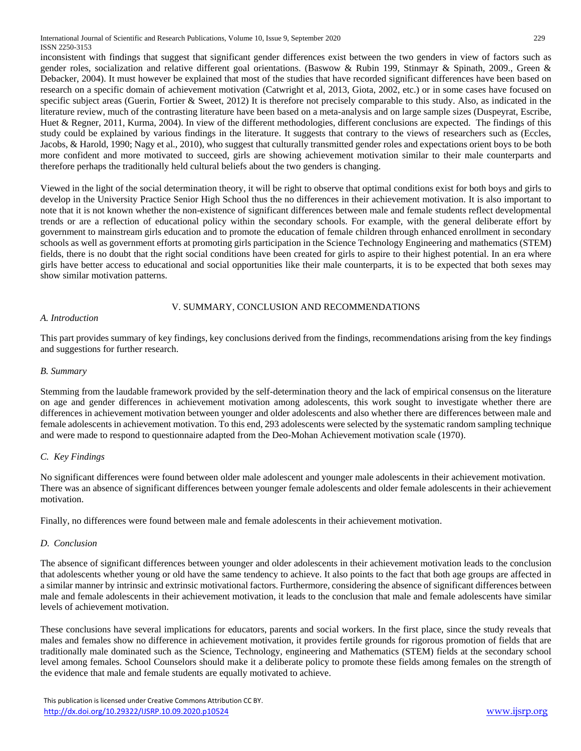inconsistent with findings that suggest that significant gender differences exist between the two genders in view of factors such as gender roles, socialization and relative different goal orientations. (Baswow & Rubin 199, Stinmayr & Spinath, 2009., Green & Debacker, 2004). It must however be explained that most of the studies that have recorded significant differences have been based on research on a specific domain of achievement motivation (Catwright et al, 2013, Giota, 2002, etc.) or in some cases have focused on specific subject areas (Guerin, Fortier & Sweet, 2012) It is therefore not precisely comparable to this study. Also, as indicated in the literature review, much of the contrasting literature have been based on a meta-analysis and on large sample sizes (Duspeyrat, Escribe, Huet & Regner, 2011, Kurma, 2004). In view of the different methodologies, different conclusions are expected. The findings of this study could be explained by various findings in the literature. It suggests that contrary to the views of researchers such as (Eccles, Jacobs, & Harold, 1990; Nagy et al., 2010), who suggest that culturally transmitted gender roles and expectations orient boys to be both more confident and more motivated to succeed, girls are showing achievement motivation similar to their male counterparts and therefore perhaps the traditionally held cultural beliefs about the two genders is changing.

Viewed in the light of the social determination theory, it will be right to observe that optimal conditions exist for both boys and girls to develop in the University Practice Senior High School thus the no differences in their achievement motivation. It is also important to note that it is not known whether the non-existence of significant differences between male and female students reflect developmental trends or are a reflection of educational policy within the secondary schools. For example, with the general deliberate effort by government to mainstream girls education and to promote the education of female children through enhanced enrollment in secondary schools as well as government efforts at promoting girls participation in the Science Technology Engineering and mathematics (STEM) fields, there is no doubt that the right social conditions have been created for girls to aspire to their highest potential. In an era where girls have better access to educational and social opportunities like their male counterparts, it is to be expected that both sexes may show similar motivation patterns.

# V. SUMMARY, CONCLUSION AND RECOMMENDATIONS

## *A. Introduction*

This part provides summary of key findings, key conclusions derived from the findings, recommendations arising from the key findings and suggestions for further research.

## *B. Summary*

Stemming from the laudable framework provided by the self-determination theory and the lack of empirical consensus on the literature on age and gender differences in achievement motivation among adolescents, this work sought to investigate whether there are differences in achievement motivation between younger and older adolescents and also whether there are differences between male and female adolescents in achievement motivation. To this end, 293 adolescents were selected by the systematic random sampling technique and were made to respond to questionnaire adapted from the Deo-Mohan Achievement motivation scale (1970).

## *C. Key Findings*

No significant differences were found between older male adolescent and younger male adolescents in their achievement motivation. There was an absence of significant differences between younger female adolescents and older female adolescents in their achievement motivation.

Finally, no differences were found between male and female adolescents in their achievement motivation.

## *D. Conclusion*

The absence of significant differences between younger and older adolescents in their achievement motivation leads to the conclusion that adolescents whether young or old have the same tendency to achieve. It also points to the fact that both age groups are affected in a similar manner by intrinsic and extrinsic motivational factors. Furthermore, considering the absence of significant differences between male and female adolescents in their achievement motivation, it leads to the conclusion that male and female adolescents have similar levels of achievement motivation.

These conclusions have several implications for educators, parents and social workers. In the first place, since the study reveals that males and females show no difference in achievement motivation, it provides fertile grounds for rigorous promotion of fields that are traditionally male dominated such as the Science, Technology, engineering and Mathematics (STEM) fields at the secondary school level among females. School Counselors should make it a deliberate policy to promote these fields among females on the strength of the evidence that male and female students are equally motivated to achieve.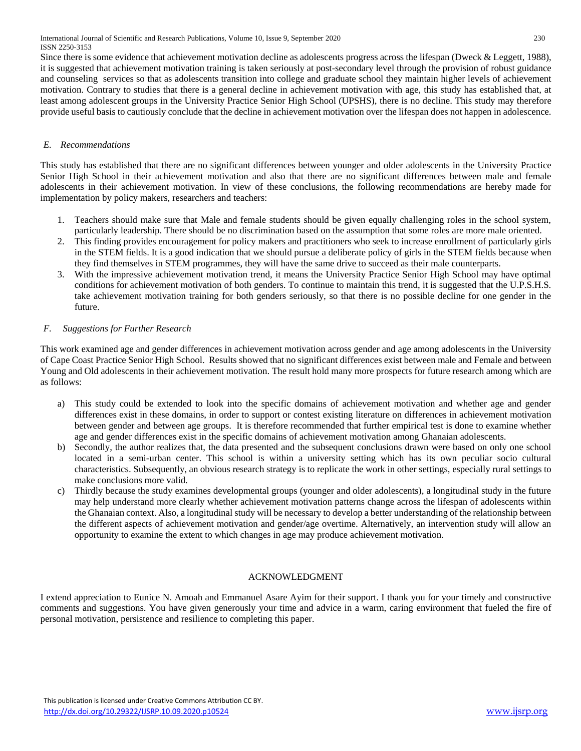Since there is some evidence that achievement motivation decline as adolescents progress across the lifespan (Dweck & Leggett, 1988), it is suggested that achievement motivation training is taken seriously at post-secondary level through the provision of robust guidance and counseling services so that as adolescents transition into college and graduate school they maintain higher levels of achievement motivation. Contrary to studies that there is a general decline in achievement motivation with age, this study has established that, at least among adolescent groups in the University Practice Senior High School (UPSHS), there is no decline. This study may therefore provide useful basis to cautiously conclude that the decline in achievement motivation over the lifespan does not happen in adolescence.

## *E. Recommendations*

This study has established that there are no significant differences between younger and older adolescents in the University Practice Senior High School in their achievement motivation and also that there are no significant differences between male and female adolescents in their achievement motivation. In view of these conclusions, the following recommendations are hereby made for implementation by policy makers, researchers and teachers:

- 1. Teachers should make sure that Male and female students should be given equally challenging roles in the school system, particularly leadership. There should be no discrimination based on the assumption that some roles are more male oriented.
- 2. This finding provides encouragement for policy makers and practitioners who seek to increase enrollment of particularly girls in the STEM fields. It is a good indication that we should pursue a deliberate policy of girls in the STEM fields because when they find themselves in STEM programmes, they will have the same drive to succeed as their male counterparts.
- 3. With the impressive achievement motivation trend, it means the University Practice Senior High School may have optimal conditions for achievement motivation of both genders. To continue to maintain this trend, it is suggested that the U.P.S.H.S. take achievement motivation training for both genders seriously, so that there is no possible decline for one gender in the future.

# *F. Suggestions for Further Research*

This work examined age and gender differences in achievement motivation across gender and age among adolescents in the University of Cape Coast Practice Senior High School. Results showed that no significant differences exist between male and Female and between Young and Old adolescents in their achievement motivation. The result hold many more prospects for future research among which are as follows:

- a) This study could be extended to look into the specific domains of achievement motivation and whether age and gender differences exist in these domains, in order to support or contest existing literature on differences in achievement motivation between gender and between age groups. It is therefore recommended that further empirical test is done to examine whether age and gender differences exist in the specific domains of achievement motivation among Ghanaian adolescents.
- b) Secondly, the author realizes that, the data presented and the subsequent conclusions drawn were based on only one school located in a semi-urban center. This school is within a university setting which has its own peculiar socio cultural characteristics. Subsequently, an obvious research strategy is to replicate the work in other settings, especially rural settings to make conclusions more valid.
- c) Thirdly because the study examines developmental groups (younger and older adolescents), a longitudinal study in the future may help understand more clearly whether achievement motivation patterns change across the lifespan of adolescents within the Ghanaian context. Also, a longitudinal study will be necessary to develop a better understanding of the relationship between the different aspects of achievement motivation and gender/age overtime. Alternatively, an intervention study will allow an opportunity to examine the extent to which changes in age may produce achievement motivation.

# ACKNOWLEDGMENT

I extend appreciation to Eunice N. Amoah and Emmanuel Asare Ayim for their support. I thank you for your timely and constructive comments and suggestions. You have given generously your time and advice in a warm, caring environment that fueled the fire of personal motivation, persistence and resilience to completing this paper.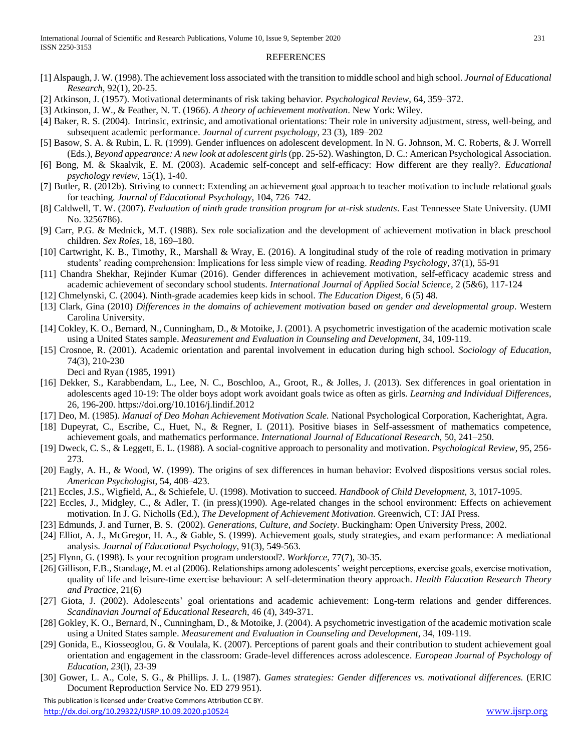#### REFERENCES

- [1] Alspaugh, J. W. (1998). The achievement loss associated with the transition to middle school and high school. *Journal of Educational Research*, 92(1), 20-25.
- [2] Atkinson, J. (1957). Motivational determinants of risk taking behavior. *Psychological Review*, 64, 359–372.
- [3] Atkinson, J. W., & Feather, N. T. (1966). *A theory of achievement motivation*. New York: Wiley.
- [4] Baker, R. S. (2004). Intrinsic, extrinsic, and amotivational orientations: Their role in university adjustment, stress, well-being, and subsequent academic performance. *Journal of current psychology*, 23 (3), 189–202
- [5] Basow, S. A. & Rubin, L. R. (1999). Gender influences on adolescent development. In N. G. Johnson, M. C. Roberts, & J. Worrell (Eds.), *Beyond appearance: A new look at adolescent girls* (pp. 25-52). Washington, D. C.: American Psychological Association.
- [6] Bong, M. & Skaalvik, E. M. (2003). Academic self-concept and self-efficacy: How different are they really?. *Educational psychology review*, 15(1), 1-40.
- [7] Butler, R. (2012b). Striving to connect: Extending an achievement goal approach to teacher motivation to include relational goals for teaching*. Journal of Educational Psychology*, 104, 726–742.
- [8] Caldwell, T. W. (2007). *Evaluation of ninth grade transition program for at-risk students*. East Tennessee State University. (UMI No. 3256786).
- [9] Carr, P.G. & Mednick, M.T. (1988). Sex role socialization and the development of achievement motivation in black preschool children. *Sex Roles*, 18, 169–180.
- [10] Cartwright, K. B., Timothy, R., Marshall & Wray, E. (2016). A longitudinal study of the role of reading motivation in primary students' reading comprehension: Implications for less simple view of reading. *Reading Psychology*, 37(1), 55-91
- [11] Chandra Shekhar, Rejinder Kumar (2016). Gender differences in achievement motivation, self-efficacy academic stress and academic achievement of secondary school students. *International Journal of Applied Social Science*, 2 (5&6), 117-124
- [12] Chmelynski, C. (2004). Ninth-grade academies keep kids in school. *The Education Digest*, 6 (5) 48.
- [13] Clark, Gina (2010) *Differences in the domains of achievement motivation based on gender and developmental group*. Western Carolina University.
- [14] Cokley, K. O., Bernard, N., Cunningham, D., & Motoike, J. (2001). A psychometric investigation of the academic motivation scale using a United States sample. *Measurement and Evaluation in Counseling and Development,* 34, 109-119.
- [15] Crosnoe, R. (2001). Academic orientation and parental involvement in education during high school. *Sociology of Education*, 74(3), 210-230

Deci and Ryan (1985, 1991)

- [16] Dekker, S., Karabbendam, L., Lee, N. C., Boschloo, A., Groot, R., & Jolles, J. (2013). Sex differences in goal orientation in adolescents aged 10-19: The older boys adopt work avoidant goals twice as often as girls. *Learning and Individual Differences,* 26, 196-200. https://doi.org/10.1016/j.lindif.2012
- [17] Deo, M. (1985). *Manual of Deo Mohan Achievement Motivation Scale.* National Psychological Corporation, Kacherightat, Agra.
- [18] Dupeyrat, C., Escribe, C., Huet, N., & Regner, I. (2011). Positive biases in Self-assessment of mathematics competence, achievement goals, and mathematics performance. *International Journal of Educational Research*, 50, 241–250.
- [19] Dweck, C. S., & Leggett, E. L. (1988). A social-cognitive approach to personality and motivation. *Psychological Review*, 95, 256- 273.
- [20] Eagly, A. H., & Wood, W. (1999). The origins of sex differences in human behavior: Evolved dispositions versus social roles*. American Psychologist*, 54, 408–423.
- [21] Eccles, J.S., Wigfield, A., & Schiefele, U. (1998). Motivation to succeed. *Handbook of Child Development*, 3, 1017-1095.
- [22] Eccles, J., Midgley, C., & Adler, T. (in press)(1990). Age-related changes in the school environment: Effects on achievement motivation. In J. G. Nicholls (Ed.), *The Development of Achievement Motivation*. Greenwich, CT: JAI Press.
- [23] Edmunds, J. and Turner, B. S. (2002). *Generations, Culture, and Society*. Buckingham: Open University Press, 2002.
- [24] Elliot, A. J., McGregor, H. A., & Gable, S. (1999). Achievement goals, study strategies, and exam performance: A mediational analysis. *Journal of Educational Psychology*, 91(3), 549-563.
- [25] Flynn, G. (1998). Is your recognition program understood?. *Workforce*, 77(7), 30-35.
- [26] Gillison, F.B., Standage, M. et al (2006). Relationships among adolescents' weight perceptions, exercise goals, exercise motivation, quality of life and leisure-time exercise behaviour: A self-determination theory approach. *Health Education Research Theory and Practice*, 21(6)
- [27] Giota, J. (2002). Adolescents' goal orientations and academic achievement: Long-term relations and gender differences. *Scandinavian Journal of Educational Research*, 46 (4), 349-371.
- [28] Gokley, K. O., Bernard, N., Cunningham, D., & Motoike, J. (2004). A psychometric investigation of the academic motivation scale using a United States sample. *Measurement and Evaluation in Counseling and Development*, 34, 109-119.
- [29] Gonida, E., Kiosseoglou, G. & Voulala, K. (2007). Perceptions of parent goals and their contribution to student achievement goal orientation and engagement in the classroom: Grade-level differences across adolescence. *European Journal of Psychology of Education, 23*(l), 23-39
- [30] Gower, L. A., Cole, S. G., & Phillips. J. L. (1987). *Games strategies: Gender differences vs. motivational differences.* (ERIC Document Reproduction Service No. ED 279 951).

 This publication is licensed under Creative Commons Attribution CC BY. <http://dx.doi.org/10.29322/IJSRP.10.09.2020.p10524> [www.ijsrp.org](http://ijsrp.org/)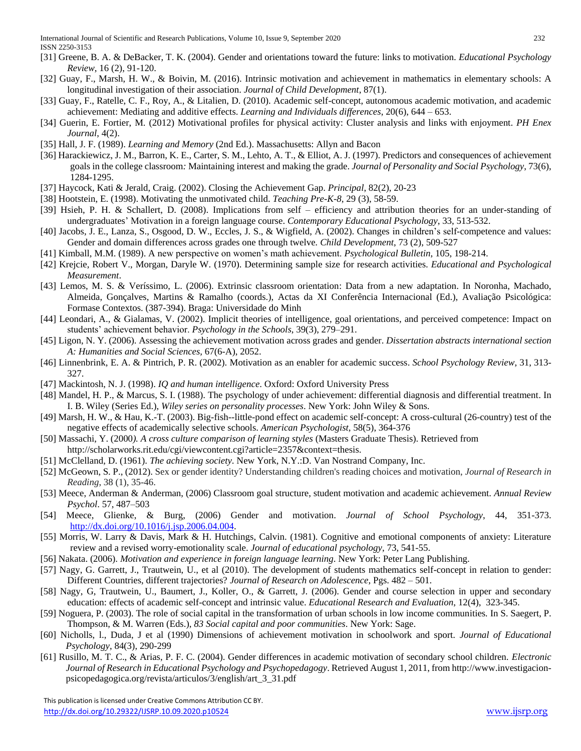- [31] Greene, B. A. & DeBacker, T. K. (2004). Gender and orientations toward the future: links to motivation. *Educational Psychology Review*, 16 (2), 91-120.
- [32] Guay, F., Marsh, H. W., & Boivin, M. (2016). Intrinsic motivation and achievement in mathematics in elementary schools: A longitudinal investigation of their association. *Journal of Child Development*, 87(1).
- [33] Guay, F., Ratelle, C. F., Roy, A., & Litalien, D. (2010). Academic self-concept, autonomous academic motivation, and academic achievement: Mediating and additive effects. *Learning and Individuals differences*, 20(6), 644 – 653.
- [34] Guerin, E. Fortier, M. (2012) Motivational profiles for physical activity: Cluster analysis and links with enjoyment. *PH Enex Journal*, 4(2).
- [35] Hall, J. F. (1989). *Learning and Memory* (2nd Ed.). Massachusetts: Allyn and Bacon
- [36] Harackiewicz, J. M., Barron, K. E., Carter, S. M., Lehto, A. T., & Elliot, A. J. (1997). Predictors and consequences of achievement goals in the college classroom*:* Maintaining interest and making the grade. *Journal of Personality and Social Psychology*, 73(6), 1284-1295.
- [37] Haycock, Kati & Jerald, Craig. (2002). Closing the Achievement Gap. *Principal*, 82(2), 20-23
- [38] Hootstein, E. (1998). Motivating the unmotivated child. *Teaching Pre-K-8*, 29 (3), 58-59.
- [39] Hsieh, P. H. & Schallert, D. (2008). Implications from self efficiency and attribution theories for an under-standing of undergraduates' Motivation in a foreign language course. *Contemporary Educational Psychology*, 33, 513-532.
- [40] Jacobs, J. E., Lanza, S., Osgood, D. W., Eccles, J. S., & Wigfield, A. (2002). Changes in children's self-competence and values: Gender and domain differences across grades one through twelve*. Child Development*, 73 (2), 509-527
- [41] Kimball, M.M. (1989). A new perspective on women's math achievement. *Psychological Bulletin*, 105, 198-214.
- [42] Krejcie, Robert V., Morgan, Daryle W. (1970). Determining sample size for research activities. *Educational and Psychological Measurement*.
- [43] Lemos, M. S. & Veríssimo, L. (2006). Extrinsic classroom orientation: Data from a new adaptation. In Noronha, Machado, Almeida, Gonçalves, Martins & Ramalho (coords.), Actas da XI Conferência Internacional (Ed.), Avaliação Psicológica: Formase Contextos. (387-394). Braga: Universidade do Minh
- [44] Leondari, A., & Gialamas, V. (2002). Implicit theories of intelligence, goal orientations, and perceived competence: Impact on students' achievement behavior. *Psychology in the Schools*, 39(3), 279–291.
- [45] Ligon, N. Y. (2006). Assessing the achievement motivation across grades and gender. *Dissertation abstracts international section A: Humanities and Social Sciences,* 67(6-A), 2052.
- [46] Linnenbrink, E. A. & Pintrich, P. R. (2002). Motivation as an enabler for academic success. *School Psychology Review*, 31, 313- 327.
- [47] Mackintosh, N. J. (1998). *IQ and human intelligence*. Oxford: Oxford University Press
- [48] Mandel, H. P., & Marcus, S. I. (1988). The psychology of under achievement: differential diagnosis and differential treatment. In I. B. Wiley (Series Ed.), *Wiley series on personality processes*. New York: John Wiley & Sons.
- [49] Marsh, H. W., & Hau, K.-T. (2003). Big-fish--little-pond effect on academic self-concept: A cross-cultural (26-country) test of the negative effects of academically selective schools. *American Psychologist*, 58(5), 364-376
- [50] Massachi, Y. (2000*). A cross culture comparison of learning styles* (Masters Graduate Thesis). Retrieved from
- http://scholarworks.rit.edu/cgi/viewcontent.cgi?article=2357&context=thesis.
- [51] McClelland, D. (1961). *The achieving society*. New York, N.Y.:D. Van Nostrand Company, Inc.
- [52] McGeown, S. P., (2012). Sex or gender identity? Understanding children's reading choices and motivation, *Journal of Research in Reading*, 38 (1), 35-46.
- [53] Meece, Anderman & Anderman, (2006) Classroom goal structure, student motivation and academic achievement. *Annual Review Psychol*. 57, 487–503
- [54] Meece, Glienke, & Burg, (2006) Gender and motivation. *Journal of School Psychology*, 44, 351-373. [http://dx.doi.org/10.1016/j.jsp.2006.04.004.](http://dx.doi.org/10.1016/j.jsp.2006.04.004)
- [55] Morris, W. Larry & Davis, Mark & H. Hutchings, Calvin. (1981). Cognitive and emotional components of anxiety: Literature review and a revised worry-emotionality scale. *Journal of educational psychology*, 73, 541-55.
- [56] Nakata. (2006). *Motivation and experience in foreign language learning*. New York: Peter Lang Publishing.
- [57] Nagy, G. Garrett, J., Trautwein, U., et al (2010). The development of students mathematics self-concept in relation to gender: Different Countries, different trajectories? *Journal of Research on Adolescence*, Pgs. 482 – 501.
- [58] Nagy, G, Trautwein, U., Baumert, J., Koller, O., & Garrett, J. (2006). Gender and course selection in upper and secondary education: effects of academic self-concept and intrinsic value. *Educational Research and Evaluation*, 12(4), 323-345.
- [59] Noguera, P. (2003). The role of social capital in the transformation of urban schools in low income communities*.* In S. Saegert, P. Thompson, & M. Warren (Eds.), *83 Social capital and poor communities*. New York: Sage.
- [60] Nicholls, l., Duda, J et al (1990) Dimensions of achievement motivation in schoolwork and sport. *Journal of Educational Psychology*, 84(3), 290-299
- [61] Rusillo, M. T. C., & Arias, P. F. C. (2004). Gender differences in academic motivation of secondary school children. *Electronic Journal of Research in Educational Psychology and Psychopedagogy*. Retrieved August 1, 2011, from http://www.investigacionpsicopedagogica.org/revista/articulos/3/english/art\_3\_31.pdf

 This publication is licensed under Creative Commons Attribution CC BY. <http://dx.doi.org/10.29322/IJSRP.10.09.2020.p10524> [www.ijsrp.org](http://ijsrp.org/)